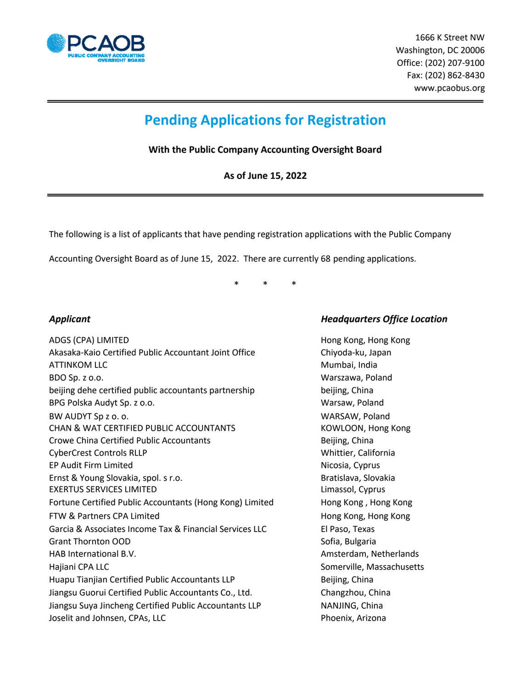

 1666 K Street NW Washington, DC 20006 Office: (202) 207‐9100 Fax: (202) 862‐8430 www.pcaobus.org

# **Pending Applications for Registration**

**With the Public Company Accounting Oversight Board**

**As of June 15, 2022**

The following is a list of applicants that have pending registration applications with the Public Company

Accounting Oversight Board as of June 15, 2022. There are currently 68 pending applications.

\* \* \*

ADGS (CPA) LIMITED **Hong Kong, Hong Kong**, Hong Kong, Hong Kong, Hong Kong, Hong Kong, Hong Kong, Hong Kong, Hong Kong, Hong Kong, Hong Kong, Hong Kong, Hong Kong, Hong Kong, Hong Kong, Hong Kong, Hong Kong, Hong Kong, Hon Akasaka-Kaio Certified Public Accountant Joint Office Chiyoda-ku, Japan ATTINKOM LLC **Mumbai, India** BDO Sp. z o.o. Warszawa, Poland beijing dehe certified public accountants partnership beiging, China BPG Polska Audyt Sp. z o.o. Warsaw, Poland BW AUDYT Sp z o. o. WARSAW, Poland CHAN & WAT CERTIFIED PUBLIC ACCOUNTANTS THE RESOLUTION, Hong Kong Crowe China Certified Public Accountants The China Beijing, China CyberCrest Controls RLLP Whittier, California EP Audit Firm Limited Nicosia, Cyprus Ernst & Young Slovakia, spol. s r.o. Bratislava, Slovakia EXERTUS SERVICES LIMITED Limassol, Cyprus Fortune Certified Public Accountants (Hong Kong) Limited **Hong Kong, Hong Kong** FTW & Partners CPA Limited **Hong Kong, Hong Kong, Hong Kong** Garcia & Associates Income Tax & Financial Services LLC El Paso, Texas Grant Thornton OOD **Sofia, Bulgaria** Sofia, Bulgaria HAB International B.V. **Amsterdam, Netherlands** Amsterdam, Netherlands Hajiani CPA LLC Somerville, Massachusetts Huapu Tianjian Certified Public Accountants LLP Beijing, China Jiangsu Guorui Certified Public Accountants Co., Ltd. Changzhou, China Jiangsu Suya Jincheng Certified Public Accountants LLP NANJING, China Joselit and Johnsen, CPAs, LLC **Arizona** Phoenix, Arizona

### *Applicant Headquarters Office Location*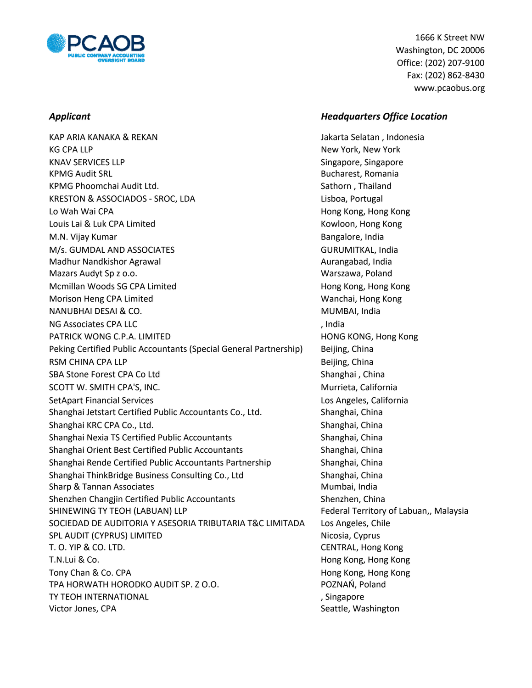

KAP ARIA KANAKA & REKAN Jakarta Selatan , Indonesia KG CPA LLP New York, New York, New York, New York, New York, New York, New York, New York, New York, New York KNAV SERVICES LLP Singapore, Singapore, Singapore KPMG Audit SRL Bucharest, Romania KPMG Phoomchai Audit Ltd. Sathorn , Thailand KRESTON & ASSOCIADOS - SROC, LDA Lisboa, Portugal Lo Wah Wai CPA **Hong Kong, Hong Kong, Hong Kong**, Hong Kong, Hong Kong, Hong Kong Louis Lai & Luk CPA Limited **Kowloon, Hong Kong Kowloon**, Hong Kong M.N. Vijay Kumar Bangalore, India M/s. GUMDAL AND ASSOCIATES **GURUMITKAL, India** Madhur Nandkishor Agrawal Aurangabad, India Mazars Audyt Sp z o.o. Warszawa, Poland Mcmillan Woods SG CPA Limited **Hong Kong, Hong Kong, Hong Kong** Morison Heng CPA Limited Wanchai, Hong Kong NANUBHAI DESAI & CO. **MUMBAI, India** and the same of the same of the same of the same of the same of the same of the same of the same of the same of the same of the same of the same of the same of the same of the same of t NG Associates CPA LLC and the contract of the contract of the contract of the contract of the contract of the contract of the contract of the contract of the contract of the contract of the contract of the contract of the PATRICK WONG C.P.A. LIMITED **Example 20 Set also assets the contract of the example of the contract of the example of the contract of the example of the example of the contract of the example of the contract of the contrac** Peking Certified Public Accountants (Special General Partnership) Beijing, China RSM CHINA CPA LLP **Beijing, China** SBA Stone Forest CPA Co Ltd Shanghai , China SCOTT W. SMITH CPA'S, INC. **Music and SCOTT W. SMITH CPA'S, INC.** Music and Music and Murrieta, California SetApart Financial Services Los Angeles, California Shanghai Jetstart Certified Public Accountants Co., Ltd. Shanghai, China Shanghai KRC CPA Co., Ltd. Shanghai, China Shanghai Nexia TS Certified Public Accountants Shanghai, China Shanghai Orient Best Certified Public Accountants Shanghai, China Shanghai Rende Certified Public Accountants Partnership Shanghai, China Shanghai ThinkBridge Business Consulting Co., Ltd Shanghai, China Sharp & Tannan Associates Mumbai, India and Sharp & Tannan Associates Mumbai, India Shenzhen Changjin Certified Public Accountants Shenzhen, China SHINEWING TY TEOH (LABUAN) LLP **FEDERAL CONSTRANT TERRY OF LABUAN**, Malaysia SOCIEDAD DE AUDITORIA Y ASESORIA TRIBUTARIA T&C LIMITADA Los Angeles, Chile SPL AUDIT (CYPRUS) LIMITED Nicosia, Cyprus T. O. YIP & CO. LTD. CENTRAL, Hong Kong T.N.Lui & Co. Hong Kong, Hong Kong Tony Chan & Co. CPA **Hong Kong, Hong Kong, Hong Kong**, Hong Kong, Hong Kong, Hong Kong, Hong Kong, Hong Kong, Hong TPA HORWATH HORODKO AUDIT SP. Z O.O. POZNAŃ, Poland TY TEOH INTERNATIONAL **SECURE 2018 TO A SET A SET A** Singapore Victor Jones, CPA Seattle, Washington CPA Seattle, Washington

 1666 K Street NW Washington, DC 20006 Office: (202) 207‐9100 Fax: (202) 862‐8430 www.pcaobus.org

### *Applicant Headquarters Office Location*